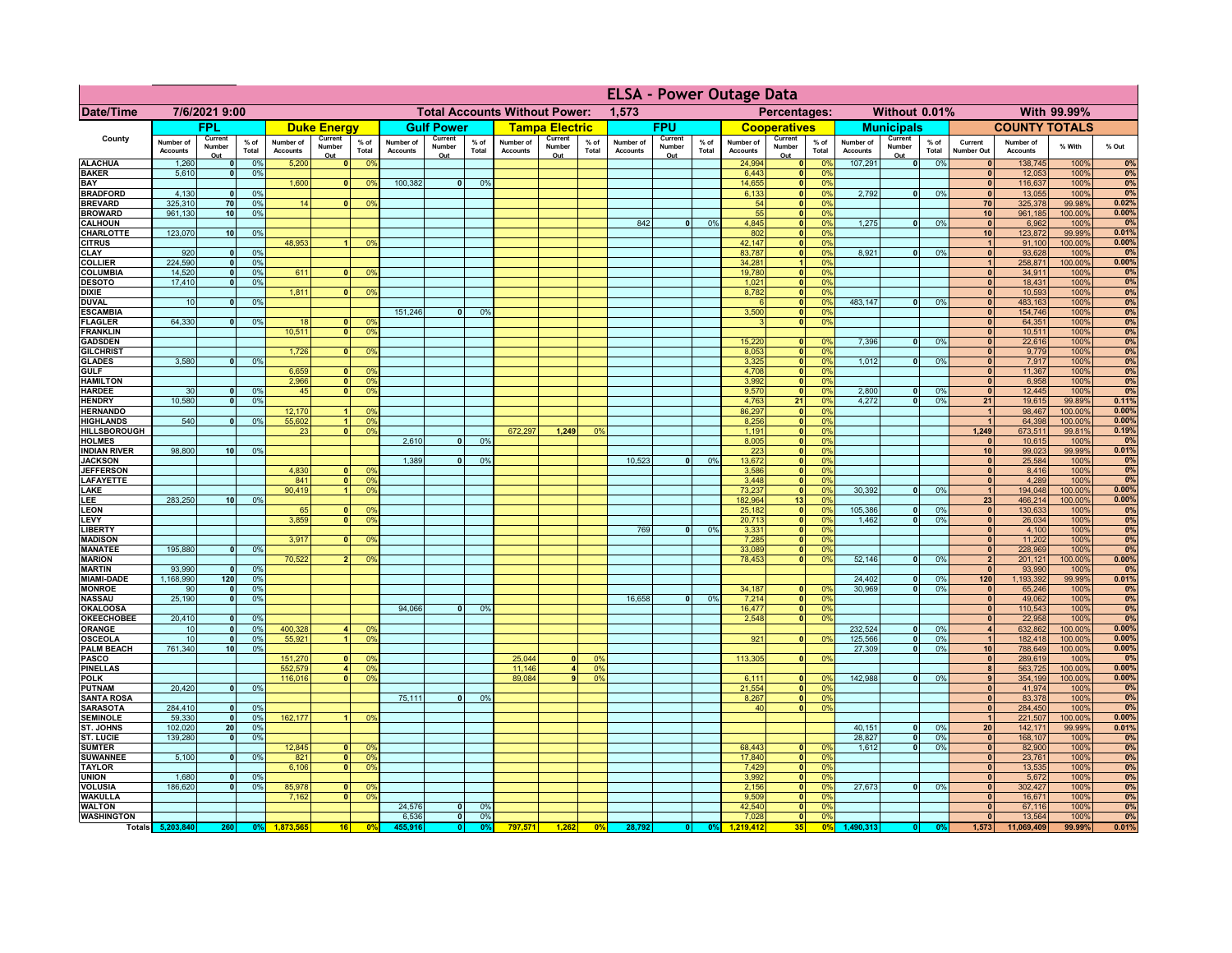|                                      | <b>ELSA - Power Outage Data</b> |                                 |                 |                              |                                           |                                               |                              |                          |                 |                              |                          |                                              |                              |                          |               |                              |                              |                 |                              |                                  |                 |                              |                              |                 |             |
|--------------------------------------|---------------------------------|---------------------------------|-----------------|------------------------------|-------------------------------------------|-----------------------------------------------|------------------------------|--------------------------|-----------------|------------------------------|--------------------------|----------------------------------------------|------------------------------|--------------------------|---------------|------------------------------|------------------------------|-----------------|------------------------------|----------------------------------|-----------------|------------------------------|------------------------------|-----------------|-------------|
| Date/Time                            | 7/6/2021 9:00                   |                                 |                 |                              |                                           | <b>Total Accounts Without Power:</b><br>1,573 |                              |                          |                 |                              |                          | Without 0.01%<br>With 99.99%<br>Percentages: |                              |                          |               |                              |                              |                 |                              |                                  |                 |                              |                              |                 |             |
|                                      |                                 | <b>FPL</b>                      |                 |                              | <b>Duke Energy</b>                        |                                               |                              | <b>Gulf Power</b>        |                 |                              | <b>Tampa Electric</b>    |                                              |                              | <b>FPU</b>               |               |                              | <b>Cooperatives</b>          |                 |                              | <b>Municipals</b>                |                 |                              | <b>COUNTY TOTALS</b>         |                 |             |
| County                               | Number of<br><b>Accounts</b>    | Current<br>Number<br>Out        | $%$ of<br>Total | Number of<br><b>Accounts</b> | Current<br>Number<br>Out                  | $%$ of<br>Total                               | Number of<br><b>Accounts</b> | Current<br>Number<br>Out | $%$ of<br>Total | Number of<br><b>Accounts</b> | Current<br>Number<br>Out | % of<br>Total                                | Number of<br><b>Accounts</b> | Current<br>Number<br>Out | % of<br>Total | Number of<br><b>Accounts</b> | Current<br>Number<br>Out     | $%$ of<br>Total | Number of<br><b>Accounts</b> | Current<br>Number<br>Out         | $%$ of<br>Total | Current<br>Number Out        | Number of<br><b>Accounts</b> | % With          | % Out       |
| <b>ALACHUA</b>                       | 1,260                           | $\mathbf{0}$                    | 0%              | 5,200                        | $\mathbf{0}$                              | 0%                                            |                              |                          |                 |                              |                          |                                              |                              |                          |               | 24,994                       | 0                            | 0%              | 107,291                      | 0                                | 0%              | $\mathbf{0}$                 | 138,745                      | 100%            | 0%          |
| <b>BAKER</b><br>BAY                  | 5,610                           | $\Omega$                        | 0%              | 1,600                        | $\mathbf{0}$                              | 0 <sup>9</sup>                                | 100,382                      | $\mathbf{0}$             | 0%              |                              |                          |                                              |                              |                          |               | 6,443<br>14,655              | 0 <br> 0                     | 0%<br>0%        |                              |                                  |                 | $\mathbf{0}$<br> 0           | 12,053<br>116,637            | 100%<br>100%    | 0%<br>0%    |
| <b>BRADFORD</b>                      | 4,130                           | $\mathbf{0}$                    | 0%              |                              |                                           |                                               |                              |                          |                 |                              |                          |                                              |                              |                          |               | 6,133                        | 0                            | 0%              | 2,792                        | 0                                | 0%              | $\mathbf{0}$                 | 13,055                       | 100%            | 0%          |
| <b>BREVARD</b>                       | 325,310                         | 70                              | 0%              | 14                           | $\Omega$                                  | 0%                                            |                              |                          |                 |                              |                          |                                              |                              |                          |               | 54                           | 0                            | 0%              |                              |                                  |                 | <b>70</b>                    | 325,378                      | 99.98%          | 0.02%       |
| <b>BROWARD</b><br><b>CALHOUN</b>     | 961,130                         | 10                              | 0%              |                              |                                           |                                               |                              |                          |                 |                              |                          |                                              | 842                          | 0                        | 0%            | 55<br>4,845                  | $\mathbf{0}$<br>$\mathbf{0}$ | 0%<br>0%        | 1,275                        | 0                                | 0%              | 10<br>$\mathbf{0}$           | 961,185<br>6,962             | 100.00%<br>100% | 0.00%<br>0% |
| CHARLOTTE                            | 123,070                         | 10                              | 0%              |                              |                                           |                                               |                              |                          |                 |                              |                          |                                              |                              |                          |               | 802                          | $\mathbf{0}$                 | 0%              |                              |                                  |                 | 10                           | 123,872                      | 99.99%          | 0.01%       |
| <b>CITRUS</b>                        |                                 |                                 |                 | 48,953                       |                                           | 0 <sup>9</sup>                                |                              |                          |                 |                              |                          |                                              |                              |                          |               | 42,147                       | $\mathbf{0}$                 | 0%              |                              |                                  |                 |                              | 91,100                       | 100.00%         | 0.00%       |
| <b>CLAY</b><br><b>COLLIER</b>        | 920<br>224,590                  | $\mathbf{0}$                    | 0%<br>0%        |                              |                                           |                                               |                              |                          |                 |                              |                          |                                              |                              |                          |               | 83,787<br>34,281             | $\mathbf{0}$                 | 0%<br>0%        | 8,921                        | 0                                | 0%              | $\mathbf{0}$<br>$\mathbf{1}$ | 93,628<br>258,871            | 100%            | 0%<br>0.00% |
| COLUMBIA                             | 14,520                          | $\mathbf{0}$                    | 0%              | 611                          | $\mathbf{0}$                              | 0 <sup>9</sup>                                |                              |                          |                 |                              |                          |                                              |                              |                          |               | 19,780                       | $\mathbf{0}$                 | 0%              |                              |                                  |                 | $\mathbf{0}$                 | 34,911                       | 100.00%<br>100% | 0%          |
| <b>DESOTO</b>                        | 17,410                          | $\mathbf{0}$                    | 0%              |                              |                                           |                                               |                              |                          |                 |                              |                          |                                              |                              |                          |               | 1,021                        | 0                            | 0%              |                              |                                  |                 | $\mathbf{0}$                 | 18,431                       | 100%            | 0%          |
| <b>DIXIE</b>                         |                                 |                                 |                 | 1,811                        | $\Omega$                                  | 0%                                            |                              |                          |                 |                              |                          |                                              |                              |                          |               | 8,782                        | 0                            | 0%              |                              |                                  |                 | $\mathbf{0}$                 | 10,593                       | 100%            | 0%          |
| <b>DUVAL</b><br><b>ESCAMBIA</b>      | 10                              | $\mathbf{0}$                    | 0%              |                              |                                           |                                               | 151,246                      | $\overline{0}$           | 0%              |                              |                          |                                              |                              |                          |               | $\epsilon$<br>3,500          | $\overline{\bullet}$<br> 0   | 0%<br>0%        | 483,147                      | -ol                              | 0%              | 0 <br> 0                     | 483,163<br>154,746           | 100%<br>100%    | 0%<br>0%    |
| <b>FLAGLER</b>                       | 64.330                          | $\Omega$                        | 0%              | 18                           | $\Omega$                                  | 0 <sup>9</sup>                                |                              |                          |                 |                              |                          |                                              |                              |                          |               | $\mathbf{B}$                 | $\overline{\bullet}$         | 0%              |                              |                                  |                 | $\mathbf{0}$                 | 64,351                       | 100%            | 0%          |
| <b>FRANKLIN</b>                      |                                 |                                 |                 | 10.511                       | $\overline{0}$                            | 0%                                            |                              |                          |                 |                              |                          |                                              |                              |                          |               |                              |                              |                 |                              |                                  |                 | 0                            | 10,511                       | 100%            | 0%          |
| <b>GADSDEN</b><br><b>GILCHRIST</b>   |                                 |                                 |                 | 1,726                        | 0                                         | 0 <sup>9</sup>                                |                              |                          |                 |                              |                          |                                              |                              |                          |               | 15,220<br>8,053              | 0 <br> 0                     | 0%<br>0%        | 7,396                        | 0                                | 0%              | 0 <br> 0                     | 22,616<br>9,779              | 100%<br>100%    | 0%<br>0%    |
| <b>GLADES</b>                        | 3,580                           | 0                               | 0%              |                              |                                           |                                               |                              |                          |                 |                              |                          |                                              |                              |                          |               | 3,325                        | 0                            | 0%              | 1,012                        | $\overline{\mathbf{0}}$          | 0%              | 0                            | 7,917                        | 100%            | 0%          |
| <b>GULF</b>                          |                                 |                                 |                 | 6,659                        | $\mathbf{0}$                              | 0 <sup>9</sup>                                |                              |                          |                 |                              |                          |                                              |                              |                          |               | 4,708                        | 0                            | 0%              |                              |                                  |                 | 0                            | 11,367                       | 100%            | 0%          |
| <b>HAMILTON</b>                      |                                 |                                 |                 | 2,966                        | $\overline{\mathbf{0}}$<br>$\overline{0}$ | 0 <sup>9</sup>                                |                              |                          |                 |                              |                          |                                              |                              |                          |               | 3,992                        | 0                            | 0%              |                              |                                  |                 | 0 <br>$\overline{0}$         | 6,958                        | 100%            | 0%          |
| <b>HARDEE</b><br><b>HENDRY</b>       | 30<br>10,580                    | $\mathbf{0}$<br>$\mathbf{0}$    | 0%<br>0%        | 45                           |                                           | 0 <sup>9</sup>                                |                              |                          |                 |                              |                          |                                              |                              |                          |               | 9,570<br>4,763               | 0 <br>21                     | 0%<br>0%        | 2,800<br>4.272               | $\overline{0}$<br>$\overline{0}$ | 0%<br>0%        | 21                           | 12,445<br>19,615             | 100%<br>99.89%  | 0%<br>0.11% |
| <b>HERNANDO</b>                      |                                 |                                 |                 | 12,170                       | 11                                        | 0 <sup>9</sup>                                |                              |                          |                 |                              |                          |                                              |                              |                          |               | 86,297                       | 0                            | 0%              |                              |                                  |                 | 1                            | 98,467                       | 100.00%         | 0.00%       |
| <b>HIGHLANDS</b>                     | 540                             |                                 | 0%              | 55,602                       | 1 <sup>1</sup>                            | 0%                                            |                              |                          |                 |                              |                          |                                              |                              |                          |               | 8,256                        | 0                            | 0%              |                              |                                  |                 | $\overline{1}$               | 64,398                       | 100.00%         | 0.00%       |
| <b>HILLSBOROUGH</b><br><b>HOLMES</b> |                                 |                                 |                 | 23                           | $\mathbf{0}$                              | 0 <sup>9</sup>                                | 2,610                        | n l                      | 0%              | 672.297                      | 1,249                    | 0%                                           |                              |                          |               | 1,191<br>8,005               | $\mathbf{0}$<br> 0           | 0%<br>0%        |                              |                                  |                 | 1,249<br>$\Omega$            | 673,511<br>10,615            | 99.81%<br>100%  | 0.19%<br>0% |
| <b>INDIAN RIVER</b>                  | 98,800                          | 10 <sup>1</sup>                 | 0%              |                              |                                           |                                               |                              |                          |                 |                              |                          |                                              |                              |                          |               | 223                          | 0                            | 0%              |                              |                                  |                 | 10 <sup>1</sup>              | 99,023                       | 99.99%          | 0.01%       |
| <b>JACKSON</b>                       |                                 |                                 |                 |                              |                                           |                                               | 1,389                        | $\mathbf{0}$             | 0%              |                              |                          |                                              | 10,523                       | $\mathbf{0}$             | 0%            | 13,672                       | 0                            | 0%              |                              |                                  |                 | 0                            | 25,584                       | 100%            | 0%          |
| <b>JEFFERSON</b><br><b>LAFAYETTE</b> |                                 |                                 |                 | 4,830<br>841                 | $\mathbf{0}$                              | 0 <sup>9</sup><br>0 <sup>9</sup>              |                              |                          |                 |                              |                          |                                              |                              |                          |               | 3,586<br>3,448               | 0 <br> 0                     | 0%<br>0%        |                              |                                  |                 | 0 <br> 0                     | 8,416<br>4,289               | 100%<br>100%    | 0%<br>0%    |
| LAKE                                 |                                 |                                 |                 | 90,419                       | 11                                        | 0 <sup>9</sup>                                |                              |                          |                 |                              |                          |                                              |                              |                          |               | 73,237                       | 0                            | 0%              | 30,392                       | $\overline{0}$                   | 0%              | 1                            | 194,048                      | 100.00%         | 0.00%       |
| LEE                                  | 283,250                         | 10 <sup>1</sup>                 | 0%              |                              |                                           |                                               |                              |                          |                 |                              |                          |                                              |                              |                          |               | 182,964                      | 13                           | 0%              |                              |                                  |                 | 23                           | 466,214                      | 100.00%         | 0.00%       |
| LEON                                 |                                 |                                 |                 | 65<br>3,859                  | O.                                        | 0 <sup>9</sup>                                |                              |                          |                 |                              |                          |                                              |                              |                          |               | 25,182                       | 0                            | 0%              | 105,386                      | $\overline{0}$                   | 0%              | 0                            | 130,633                      | 100%            | 0%          |
| LEVY<br><b>LIBERTY</b>               |                                 |                                 |                 |                              | $\overline{0}$                            | 0 <sup>9</sup>                                |                              |                          |                 |                              |                          |                                              | 769                          | 0                        | 0%            | 20,713<br>3,331              | 0 <br> 0                     | 0%<br>0%        | 1,462                        | - O I                            | 0%              | 0 <br> 0                     | 26,034<br>4,100              | 100%<br>100%    | 0%<br>0%    |
| <b>MADISON</b>                       |                                 |                                 |                 | 3,917                        | $\mathbf{0}$                              | 0 <sup>9</sup>                                |                              |                          |                 |                              |                          |                                              |                              |                          |               | 7,285                        | 0                            | 0%              |                              |                                  |                 | 0                            | 11,202                       | 100%            | 0%          |
| <b>MANATEE</b>                       | 195,880                         | $\mathbf{0}$                    | 0%              |                              |                                           |                                               |                              |                          |                 |                              |                          |                                              |                              |                          |               | 33,089                       | 0                            | 0%              |                              |                                  |                 | 0                            | 228,969                      | 100%            | 0%          |
| <b>MARION</b><br><b>MARTIN</b>       | 93,990                          | $\mathbf{0}$                    | 0%              | 70,522                       | 2 <sup>1</sup>                            | 0 <sup>9</sup>                                |                              |                          |                 |                              |                          |                                              |                              |                          |               | 78,453                       | 0                            | 0%              | 52,146                       | 0                                | 0%              | $\mathbf{2}$<br> 0           | 201,121<br>93,990            | 100.00%<br>100% | 0.00%<br>0% |
| <b>MIAMI-DADE</b>                    | 1,168,990                       | 120                             | 0%              |                              |                                           |                                               |                              |                          |                 |                              |                          |                                              |                              |                          |               |                              |                              |                 | 24,402                       | 0                                | 0%              | 120                          | 1,193,392                    | 99.99%          | 0.01%       |
| <b>MONROE</b>                        | 90                              | 0                               | 0%              |                              |                                           |                                               |                              |                          |                 |                              |                          |                                              |                              |                          |               | 34,187                       | 0                            | 0 <sup>9</sup>  | 30,969                       | -ol                              | 0%              | 0                            | 65,246                       | 100%            | 0%          |
| <b>NASSAU</b><br><b>OKALOOSA</b>     | 25,190                          | 0                               | 0%              |                              |                                           |                                               | 94,066                       | 0                        | 0%              |                              |                          |                                              | 16,658                       | 0                        | 0%            | 7,214<br>16,477              | 0 <br> 0                     | 0%<br>0%        |                              |                                  |                 | 0 <br> 0                     | 49,062<br>110,543            | 100%<br>100%    | 0%<br>0%    |
| <b>OKEECHOBEE</b>                    | 20,410                          | 0                               | 0%              |                              |                                           |                                               |                              |                          |                 |                              |                          |                                              |                              |                          |               | 2,548                        | 0                            | 0%              |                              |                                  |                 | 0                            | 22,958                       | 100%            | 0%          |
| <b>ORANGE</b>                        | 10                              | 0                               | 0%              | 400,328                      | 4                                         | 0%                                            |                              |                          |                 |                              |                          |                                              |                              |                          |               |                              |                              |                 | 232,524                      | -ol                              | 0%              | $\vert$                      | 632,862                      | 100.00%         | 0.00%       |
| <b>OSCEOLA</b>                       | 10                              | 0                               | 0%              | 55,921                       | 11                                        | 0%                                            |                              |                          |                 |                              |                          |                                              |                              |                          |               | 921                          | 0                            | 0%              | 125,566                      | -ol                              | 0%              | 1                            | 182,418                      | 100.00%         | 0.00%       |
| <b>PALM BEACH</b><br><b>PASCO</b>    | 761,340                         | 10                              | 0%              | 151,270                      | 0                                         | 0 <sup>9</sup>                                |                              |                          |                 | 25,044                       | $\mathbf{0}$             | 0 <sup>9</sup>                               |                              |                          |               | 113,305                      | 0                            | 0%              | 27,309                       | 0                                | 0%              | 10<br> 0                     | 788,649<br>289,619           | 100.00%<br>100% | 0.00%<br>0% |
| <b>PINELLAS</b>                      |                                 |                                 |                 | 552,579                      | 4 <sup>1</sup>                            | 0 <sup>9</sup>                                |                              |                          |                 | 11,146                       | $\overline{4}$           | 0 <sup>o</sup>                               |                              |                          |               |                              |                              |                 |                              |                                  |                 | 8 <sup>1</sup>               | 563,725                      | 100.00%         | 0.00%       |
| <b>POLK</b>                          |                                 |                                 |                 | 116,016                      | 0                                         | 0 <sup>9</sup>                                |                              |                          |                 | 89,084                       | $\mathbf{9}$             | 0 <sup>o</sup>                               |                              |                          |               | 6,111                        | 0                            | 0 <sup>9</sup>  | 142,988                      | 0                                | 0%              | 9                            | 354,199                      | 100.00%         | 0.00%       |
| <b>PUTNAM</b><br><b>SANTA ROSA</b>   | 20,420                          | 0                               | 0%              |                              |                                           |                                               | 75,111                       | $\overline{0}$           | 0%              |                              |                          |                                              |                              |                          |               | 21,554<br>8,267              | 0 <br> 0                     | 0%<br>0%        |                              |                                  |                 | 0 <br> 0                     | 41,974<br>83,378             | 100%<br>100%    | 0%<br>0%    |
| <b>SARASOTA</b>                      | 284,410                         | -ol                             | 0%              |                              |                                           |                                               |                              |                          |                 |                              |                          |                                              |                              |                          |               | 40                           | 0                            | 0%              |                              |                                  |                 | 0                            | 284,450                      | 100%            | 0%          |
| <b>SEMINOLE</b>                      | 59,330                          | -ol                             | 0%              | 162,177                      |                                           | 0%                                            |                              |                          |                 |                              |                          |                                              |                              |                          |               |                              |                              |                 |                              |                                  |                 | 1                            | 221,507                      | 100.00%         | 0.00%       |
| ST. JOHNS<br><b>ST. LUCIE</b>        | 102.020<br>139,280              | 20 <sup>1</sup><br>$\mathbf{0}$ | 0%<br>0%        |                              |                                           |                                               |                              |                          |                 |                              |                          |                                              |                              |                          |               |                              |                              |                 | 40,151<br>28.827             | - O I<br>-ol                     | 0%<br>0%        | 20 <sub>1</sub><br> 0        | 142,171<br>168,107           | 99.99%<br>100%  | 0.01%<br>0% |
| <b>SUMTER</b>                        |                                 |                                 |                 | 12,845                       | $\mathbf{0}$                              | 0 <sup>9</sup>                                |                              |                          |                 |                              |                          |                                              |                              |                          |               | 68,443                       | 0                            | 0 <sup>9</sup>  | 1,612                        | 0                                | 0%              | 0                            | 82,900                       | 100%            | 0%          |
| SUWANNEE                             | 5,100                           | 0                               | 0%              | 821                          | 0                                         | 0 <sup>9</sup>                                |                              |                          |                 |                              |                          |                                              |                              |                          |               | 17,840                       | 0                            | 0%              |                              |                                  |                 | 0                            | 23,761                       | 100%            | 0%          |
| <b>TAYLOR</b>                        |                                 |                                 |                 | 6,106                        | $\mathbf{0}$                              | 0 <sup>9</sup>                                |                              |                          |                 |                              |                          |                                              |                              |                          |               | 7,429                        | 0                            | 0%              |                              |                                  |                 | 0                            | 13,535                       | 100%            | 0%          |
| <b>UNION</b><br><b>VOLUSIA</b>       | 1,680<br>186,620                | $\mathbf{0}$<br>$\mathbf{0}$    | 0%<br>0%        | 85,978                       |                                           | 0 <sup>9</sup>                                |                              |                          |                 |                              |                          |                                              |                              |                          |               | 3,992<br>2,156               | 0 <br> 0                     | 0%<br>0%        | 27,673                       | $\overline{0}$                   | 0%              | 0 <br>$\mathbf{0}$           | 5,672<br>302,427             | 100%<br>100%    | 0%<br>0%    |
| <b>WAKULLA</b>                       |                                 |                                 |                 | 7,162                        | $\mathbf{0}$                              | 0 <sup>9</sup>                                |                              |                          |                 |                              |                          |                                              |                              |                          |               | 9,509                        | 0                            | 0%              |                              |                                  |                 | $\mathbf{0}$                 | 16,671                       | 100%            | 0%          |
| <b>WALTON</b>                        |                                 |                                 |                 |                              |                                           |                                               | 24,576                       | 0                        | 0%              |                              |                          |                                              |                              |                          |               | 42,540                       | 0                            | 0%              |                              |                                  |                 | $\mathbf{0}$                 | 67,116                       | 100%            | 0%          |
| <b>WASHINGTON</b>                    | Totals 5,203,840                | 260                             | 0%              | 1,873,565                    | 16                                        | 0 <sup>o</sup>                                | 6,536<br>455,916             | 0 <br> 0                 | 0%<br>0%        | 797,571                      | 1,262                    | 0%                                           | 28,792                       |                          | 0%            | 7,028<br>1,219,412           | 0 <br>35                     | 0%<br>0%        | 1,490,313                    | $\bullet$                        | 0%              | $\mathbf{0}$<br>1,573        | 13,564<br>11.069.409         | 100%<br>99.99%  | 0%<br>0.01% |
|                                      |                                 |                                 |                 |                              |                                           |                                               |                              |                          |                 |                              |                          |                                              |                              |                          |               |                              |                              |                 |                              |                                  |                 |                              |                              |                 |             |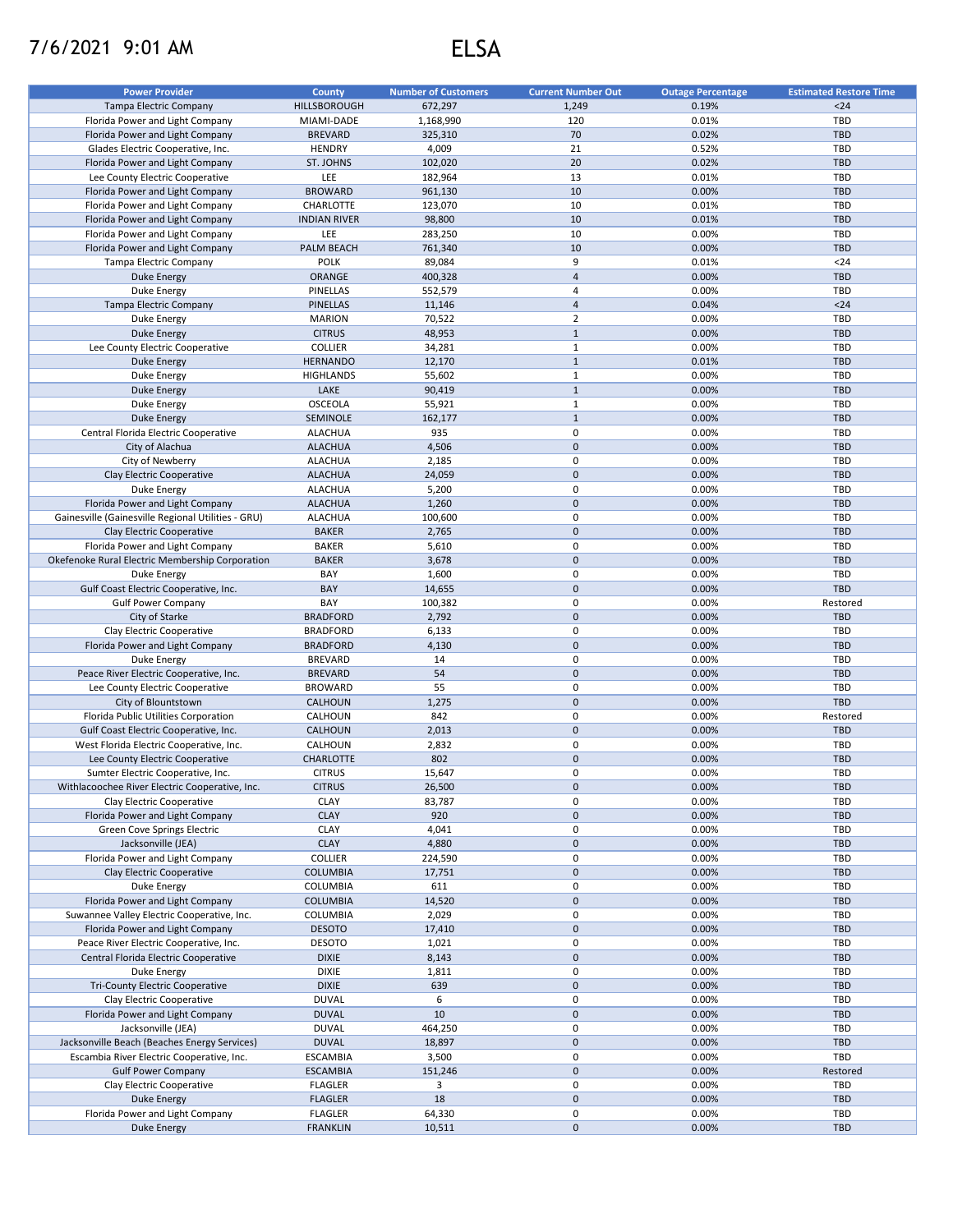## 7/6/2021 9:01 AM ELSA

| <b>Power Provider</b>                              | County              | <b>Number of Customers</b> | <b>Current Number Out</b> | <b>Outage Percentage</b> | <b>Estimated Restore Time</b> |
|----------------------------------------------------|---------------------|----------------------------|---------------------------|--------------------------|-------------------------------|
| <b>Tampa Electric Company</b>                      | HILLSBOROUGH        | 672,297                    | 1,249                     | 0.19%                    | $24$                          |
| Florida Power and Light Company                    | MIAMI-DADE          | 1,168,990                  | 120                       | 0.01%                    | TBD                           |
| Florida Power and Light Company                    | <b>BREVARD</b>      | 325,310                    | 70                        | 0.02%                    | <b>TBD</b>                    |
|                                                    |                     | 4,009                      | 21                        | 0.52%                    | <b>TBD</b>                    |
| Glades Electric Cooperative, Inc.                  | <b>HENDRY</b>       |                            |                           |                          |                               |
| Florida Power and Light Company                    | ST. JOHNS           | 102,020                    | 20                        | 0.02%                    | <b>TBD</b>                    |
| Lee County Electric Cooperative                    | LEE                 | 182,964                    | 13                        | 0.01%                    | <b>TBD</b>                    |
| Florida Power and Light Company                    | <b>BROWARD</b>      | 961,130                    | 10                        | 0.00%                    | <b>TBD</b>                    |
| Florida Power and Light Company                    | CHARLOTTE           | 123,070                    | 10                        | 0.01%                    | <b>TBD</b>                    |
| Florida Power and Light Company                    | <b>INDIAN RIVER</b> | 98,800                     | 10                        | 0.01%                    | <b>TBD</b>                    |
| Florida Power and Light Company                    | LEE                 | 283,250                    | 10                        | 0.00%                    | TBD                           |
| Florida Power and Light Company                    | <b>PALM BEACH</b>   | 761,340                    | 10                        | 0.00%                    | <b>TBD</b>                    |
| Tampa Electric Company                             | <b>POLK</b>         | 89,084                     | 9                         | 0.01%                    | $24$                          |
| Duke Energy                                        | ORANGE              | 400,328                    | $\overline{4}$            | 0.00%                    | <b>TBD</b>                    |
| Duke Energy                                        | PINELLAS            | 552,579                    | 4                         | 0.00%                    | TBD                           |
| <b>Tampa Electric Company</b>                      | <b>PINELLAS</b>     | 11,146                     | $\overline{4}$            | 0.04%                    | $24$                          |
| Duke Energy                                        | <b>MARION</b>       | 70,522                     | $\overline{2}$            | 0.00%                    | TBD                           |
|                                                    |                     |                            |                           |                          |                               |
| <b>Duke Energy</b>                                 | <b>CITRUS</b>       | 48,953                     | $\mathbf{1}$              | 0.00%                    | <b>TBD</b>                    |
| Lee County Electric Cooperative                    | <b>COLLIER</b>      | 34,281                     | $\mathbf{1}$              | 0.00%                    | TBD                           |
| <b>Duke Energy</b>                                 | <b>HERNANDO</b>     | 12,170                     | $\mathbf{1}$              | 0.01%                    | <b>TBD</b>                    |
| Duke Energy                                        | <b>HIGHLANDS</b>    | 55,602                     | $\mathbf{1}$              | 0.00%                    | TBD                           |
| <b>Duke Energy</b>                                 | LAKE                | 90,419                     | $\mathbf{1}$              | 0.00%                    | <b>TBD</b>                    |
| Duke Energy                                        | OSCEOLA             | 55,921                     | $\mathbf{1}$              | 0.00%                    | TBD                           |
| <b>Duke Energy</b>                                 | SEMINOLE            | 162,177                    | $\mathbf{1}$              | 0.00%                    | <b>TBD</b>                    |
| Central Florida Electric Cooperative               | <b>ALACHUA</b>      | 935                        | 0                         | 0.00%                    | TBD                           |
| City of Alachua                                    | <b>ALACHUA</b>      | 4,506                      | $\mathsf{O}\xspace$       | 0.00%                    | <b>TBD</b>                    |
| City of Newberry                                   | <b>ALACHUA</b>      | 2,185                      | 0                         | 0.00%                    | <b>TBD</b>                    |
| Clay Electric Cooperative                          | <b>ALACHUA</b>      |                            | $\mathbf 0$               | 0.00%                    | <b>TBD</b>                    |
|                                                    |                     | 24,059                     |                           |                          |                               |
| Duke Energy                                        | <b>ALACHUA</b>      | 5,200                      | 0                         | 0.00%                    | <b>TBD</b>                    |
| Florida Power and Light Company                    | <b>ALACHUA</b>      | 1,260                      | $\mathbf 0$               | 0.00%                    | <b>TBD</b>                    |
| Gainesville (Gainesville Regional Utilities - GRU) | <b>ALACHUA</b>      | 100,600                    | 0                         | 0.00%                    | <b>TBD</b>                    |
| Clay Electric Cooperative                          | <b>BAKER</b>        | 2,765                      | $\mathbf 0$               | 0.00%                    | <b>TBD</b>                    |
| Florida Power and Light Company                    | <b>BAKER</b>        | 5,610                      | 0                         | 0.00%                    | <b>TBD</b>                    |
| Okefenoke Rural Electric Membership Corporation    | <b>BAKER</b>        | 3,678                      | $\mathbf 0$               | 0.00%                    | <b>TBD</b>                    |
| Duke Energy                                        | BAY                 | 1,600                      | 0                         | 0.00%                    | TBD                           |
| Gulf Coast Electric Cooperative, Inc.              | BAY                 | 14,655                     | $\mathbf 0$               | 0.00%                    | <b>TBD</b>                    |
| <b>Gulf Power Company</b>                          | BAY                 | 100,382                    | 0                         | 0.00%                    | Restored                      |
| City of Starke                                     | <b>BRADFORD</b>     | 2,792                      | $\mathbf 0$               | 0.00%                    | <b>TBD</b>                    |
|                                                    |                     |                            |                           |                          |                               |
| Clay Electric Cooperative                          | <b>BRADFORD</b>     | 6,133                      | 0                         | 0.00%                    | <b>TBD</b>                    |
| Florida Power and Light Company                    | <b>BRADFORD</b>     | 4,130                      | $\mathbf 0$               | 0.00%                    | <b>TBD</b>                    |
| Duke Energy                                        | <b>BREVARD</b>      | 14                         | 0                         | 0.00%                    | <b>TBD</b>                    |
| Peace River Electric Cooperative, Inc.             | <b>BREVARD</b>      | 54                         | $\mathbf 0$               | 0.00%                    | <b>TBD</b>                    |
| Lee County Electric Cooperative                    | <b>BROWARD</b>      | 55                         | 0                         | 0.00%                    | <b>TBD</b>                    |
| City of Blountstown                                | CALHOUN             | 1,275                      | $\mathbf 0$               | 0.00%                    | <b>TBD</b>                    |
| Florida Public Utilities Corporation               | CALHOUN             | 842                        | $\mathbf 0$               | 0.00%                    | Restored                      |
| Gulf Coast Electric Cooperative, Inc.              | CALHOUN             | 2,013                      | $\mathsf{O}\xspace$       | 0.00%                    | <b>TBD</b>                    |
| West Florida Electric Cooperative, Inc.            | CALHOUN             | 2,832                      | 0                         | 0.00%                    | TBD                           |
| Lee County Electric Cooperative                    | CHARLOTTE           | 802                        | $\pmb{0}$                 | 0.00%                    | <b>TBD</b>                    |
| Sumter Electric Cooperative, Inc.                  | <b>CITRUS</b>       | 15,647                     | $\mathbf 0$               | 0.00%                    | TBD                           |
|                                                    |                     |                            |                           |                          |                               |
| Withlacoochee River Electric Cooperative, Inc.     | <b>CITRUS</b>       | 26,500                     | $\mathsf{O}\xspace$       | 0.00%                    | <b>TBD</b>                    |
| Clay Electric Cooperative                          | CLAY                | 83,787                     | 0                         | 0.00%                    | TBD                           |
| Florida Power and Light Company                    | <b>CLAY</b>         | 920                        | $\mathbf 0$               | 0.00%                    | <b>TBD</b>                    |
| Green Cove Springs Electric                        | CLAY                | 4,041                      | 0                         | 0.00%                    | TBD                           |
| Jacksonville (JEA)                                 | <b>CLAY</b>         | 4,880                      | $\pmb{0}$                 | 0.00%                    | <b>TBD</b>                    |
| Florida Power and Light Company                    | <b>COLLIER</b>      | 224,590                    | 0                         | 0.00%                    | TBD                           |
| Clay Electric Cooperative                          | <b>COLUMBIA</b>     | 17,751                     | $\pmb{0}$                 | 0.00%                    | <b>TBD</b>                    |
| Duke Energy                                        | <b>COLUMBIA</b>     | 611                        | 0                         | 0.00%                    | TBD                           |
| Florida Power and Light Company                    | <b>COLUMBIA</b>     | 14,520                     | $\pmb{0}$                 | 0.00%                    | <b>TBD</b>                    |
| Suwannee Valley Electric Cooperative, Inc.         | COLUMBIA            | 2,029                      | 0                         | 0.00%                    | TBD                           |
| Florida Power and Light Company                    | <b>DESOTO</b>       | 17,410                     | $\mathbf 0$               | 0.00%                    | <b>TBD</b>                    |
|                                                    |                     |                            |                           |                          |                               |
| Peace River Electric Cooperative, Inc.             | <b>DESOTO</b>       | 1,021                      | 0                         | 0.00%                    | TBD                           |
| Central Florida Electric Cooperative               | <b>DIXIE</b>        | 8,143                      | 0                         | 0.00%                    | <b>TBD</b>                    |
| Duke Energy                                        | <b>DIXIE</b>        | 1,811                      | 0                         | 0.00%                    | TBD                           |
| Tri-County Electric Cooperative                    | <b>DIXIE</b>        | 639                        | $\mathbf 0$               | 0.00%                    | <b>TBD</b>                    |
| Clay Electric Cooperative                          | <b>DUVAL</b>        | 6                          | 0                         | 0.00%                    | TBD                           |
| Florida Power and Light Company                    | <b>DUVAL</b>        | 10                         | $\mathbf 0$               | 0.00%                    | <b>TBD</b>                    |
| Jacksonville (JEA)                                 | <b>DUVAL</b>        | 464,250                    | 0                         | 0.00%                    | TBD                           |
| Jacksonville Beach (Beaches Energy Services)       | <b>DUVAL</b>        | 18,897                     | $\pmb{0}$                 | 0.00%                    | TBD                           |
| Escambia River Electric Cooperative, Inc.          | <b>ESCAMBIA</b>     | 3,500                      | 0                         | 0.00%                    | TBD                           |
| <b>Gulf Power Company</b>                          | <b>ESCAMBIA</b>     | 151,246                    | $\pmb{0}$                 | 0.00%                    | Restored                      |
| Clay Electric Cooperative                          | <b>FLAGLER</b>      | 3                          | 0                         | 0.00%                    | TBD                           |
|                                                    |                     |                            |                           |                          |                               |
| <b>Duke Energy</b>                                 | <b>FLAGLER</b>      | 18                         | $\mathsf{O}\xspace$       | 0.00%                    | <b>TBD</b>                    |
| Florida Power and Light Company                    | <b>FLAGLER</b>      | 64,330                     | 0                         | 0.00%                    | TBD                           |
| <b>Duke Energy</b>                                 | <b>FRANKLIN</b>     | 10,511                     | $\mathsf{O}\xspace$       | 0.00%                    | <b>TBD</b>                    |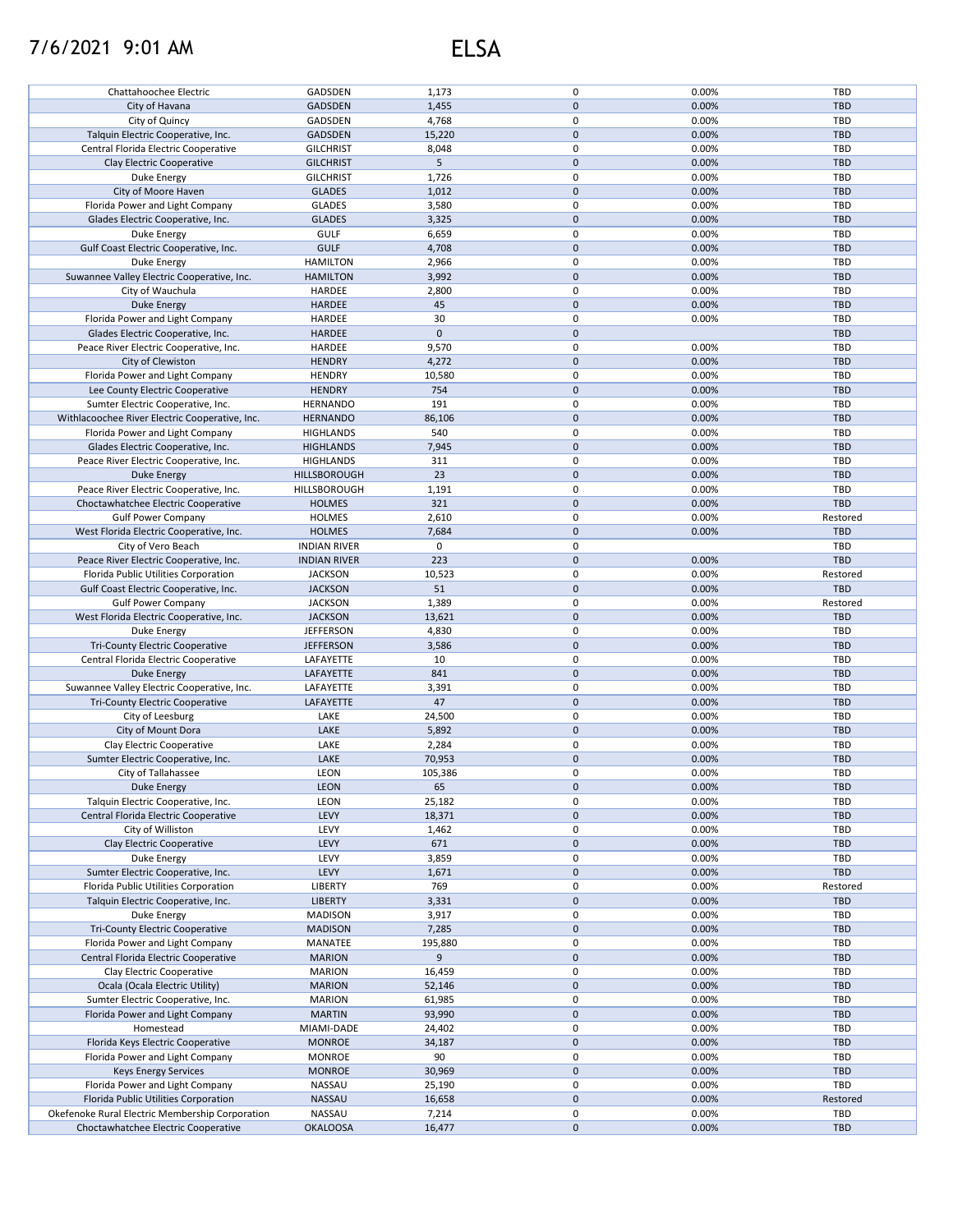## 7/6/2021 9:01 AM ELSA

| Chattahoochee Electric                                                                 | GADSDEN                   | 1,173           | 0            | 0.00%          | TBD               |
|----------------------------------------------------------------------------------------|---------------------------|-----------------|--------------|----------------|-------------------|
| City of Havana                                                                         | <b>GADSDEN</b>            | 1,455           | $\mathsf{O}$ | 0.00%          | <b>TBD</b>        |
| City of Quincy                                                                         | GADSDEN                   | 4,768           | 0            | 0.00%          | TBD               |
|                                                                                        |                           |                 | $\mathbf{0}$ |                |                   |
| Talquin Electric Cooperative, Inc.                                                     | <b>GADSDEN</b>            | 15,220          |              | 0.00%          | <b>TBD</b>        |
| Central Florida Electric Cooperative                                                   | <b>GILCHRIST</b>          | 8,048           | 0            | 0.00%          | TBD               |
| Clay Electric Cooperative                                                              | <b>GILCHRIST</b>          | 5               | $\mathbf 0$  | 0.00%          | <b>TBD</b>        |
| Duke Energy                                                                            | <b>GILCHRIST</b>          | 1,726           | 0            | 0.00%          | TBD               |
|                                                                                        |                           |                 |              |                |                   |
| City of Moore Haven                                                                    | <b>GLADES</b>             | 1,012           | $\mathsf 0$  | 0.00%          | <b>TBD</b>        |
| Florida Power and Light Company                                                        | <b>GLADES</b>             | 3,580           | 0            | 0.00%          | TBD               |
| Glades Electric Cooperative, Inc.                                                      | <b>GLADES</b>             | 3,325           | $\mathbf 0$  | 0.00%          | <b>TBD</b>        |
| Duke Energy                                                                            | <b>GULF</b>               | 6,659           | 0            | 0.00%          | TBD               |
|                                                                                        |                           |                 |              |                |                   |
| Gulf Coast Electric Cooperative, Inc.                                                  | <b>GULF</b>               | 4,708           | $\mathsf 0$  | 0.00%          | <b>TBD</b>        |
| Duke Energy                                                                            | <b>HAMILTON</b>           | 2,966           | 0            | 0.00%          | <b>TBD</b>        |
| Suwannee Valley Electric Cooperative, Inc.                                             | <b>HAMILTON</b>           | 3,992           | $\mathsf 0$  | 0.00%          | <b>TBD</b>        |
|                                                                                        |                           |                 | $\mathsf 0$  |                |                   |
| City of Wauchula                                                                       | HARDEE                    | 2,800           |              | 0.00%          | <b>TBD</b>        |
| <b>Duke Energy</b>                                                                     | <b>HARDEE</b>             | 45              | $\mathbf{0}$ | 0.00%          | <b>TBD</b>        |
| Florida Power and Light Company                                                        | HARDEE                    | 30              | 0            | 0.00%          | TBD               |
| Glades Electric Cooperative, Inc.                                                      | HARDEE                    | $\mathbf{0}$    | $\pmb{0}$    |                | <b>TBD</b>        |
|                                                                                        |                           |                 |              |                |                   |
| Peace River Electric Cooperative, Inc.                                                 | HARDEE                    | 9,570           | 0            | 0.00%          | <b>TBD</b>        |
| City of Clewiston                                                                      | <b>HENDRY</b>             | 4,272           | $\mathsf 0$  | 0.00%          | <b>TBD</b>        |
| Florida Power and Light Company                                                        | <b>HENDRY</b>             | 10,580          | 0            | 0.00%          | TBD               |
| Lee County Electric Cooperative                                                        | <b>HENDRY</b>             | 754             | $\mathbf 0$  | 0.00%          | <b>TBD</b>        |
|                                                                                        |                           |                 |              |                |                   |
| Sumter Electric Cooperative, Inc.                                                      | <b>HERNANDO</b>           | 191             | 0            | 0.00%          | TBD               |
| Withlacoochee River Electric Cooperative, Inc.                                         | <b>HERNANDO</b>           | 86,106          | $\pmb{0}$    | 0.00%          | <b>TBD</b>        |
| Florida Power and Light Company                                                        | <b>HIGHLANDS</b>          | 540             | 0            | 0.00%          | TBD               |
|                                                                                        |                           |                 |              |                |                   |
| Glades Electric Cooperative, Inc.                                                      | <b>HIGHLANDS</b>          | 7,945           | 0            | 0.00%          | <b>TBD</b>        |
| Peace River Electric Cooperative, Inc.                                                 | <b>HIGHLANDS</b>          | 311             | 0            | 0.00%          | TBD               |
| Duke Energy                                                                            | <b>HILLSBOROUGH</b>       | 23              | 0            | 0.00%          | <b>TBD</b>        |
|                                                                                        |                           | 1,191           | 0            |                | TBD               |
| Peace River Electric Cooperative, Inc.                                                 | HILLSBOROUGH              |                 |              | 0.00%          |                   |
| Choctawhatchee Electric Cooperative                                                    | <b>HOLMES</b>             | 321             | $\mathbf 0$  | 0.00%          | <b>TBD</b>        |
| <b>Gulf Power Company</b>                                                              | <b>HOLMES</b>             | 2,610           | 0            | 0.00%          | Restored          |
| West Florida Electric Cooperative, Inc.                                                | <b>HOLMES</b>             | 7,684           | $\mathbf 0$  | 0.00%          | <b>TBD</b>        |
|                                                                                        |                           |                 |              |                |                   |
| City of Vero Beach                                                                     | <b>INDIAN RIVER</b>       | 0               | 0            |                | <b>TBD</b>        |
| Peace River Electric Cooperative, Inc.                                                 | <b>INDIAN RIVER</b>       | 223             | $\mathbf 0$  | 0.00%          | <b>TBD</b>        |
| Florida Public Utilities Corporation                                                   | <b>JACKSON</b>            | 10,523          | 0            | 0.00%          | Restored          |
| Gulf Coast Electric Cooperative, Inc.                                                  | <b>JACKSON</b>            | 51              | $\mathsf 0$  | 0.00%          | <b>TBD</b>        |
|                                                                                        |                           |                 |              |                |                   |
| <b>Gulf Power Company</b>                                                              | <b>JACKSON</b>            | 1,389           | $\mathsf 0$  | 0.00%          | Restored          |
| West Florida Electric Cooperative, Inc.                                                | <b>JACKSON</b>            | 13,621          | $\mathsf 0$  | 0.00%          | <b>TBD</b>        |
| Duke Energy                                                                            | <b>JEFFERSON</b>          | 4,830           | 0            | 0.00%          | TBD               |
|                                                                                        |                           |                 | $\mathsf 0$  | 0.00%          | <b>TBD</b>        |
| <b>Tri-County Electric Cooperative</b>                                                 | <b>JEFFERSON</b>          | 3,586           |              |                |                   |
| Central Florida Electric Cooperative                                                   | LAFAYETTE                 | 10              | $\mathsf 0$  | 0.00%          | TBD               |
| <b>Duke Energy</b>                                                                     | LAFAYETTE                 | 841             | $\mathbf{0}$ | 0.00%          | <b>TBD</b>        |
| Suwannee Valley Electric Cooperative, Inc.                                             | LAFAYETTE                 | 3,391           | 0            | 0.00%          | TBD               |
|                                                                                        |                           |                 |              |                |                   |
| <b>Tri-County Electric Cooperative</b>                                                 | LAFAYETTE                 | 47              | $\pmb{0}$    | 0.00%          | <b>TBD</b>        |
| City of Leesburg                                                                       | LAKE                      | 24,500          | 0            | 0.00%          | <b>TBD</b>        |
| City of Mount Dora                                                                     | LAKE                      | 5,892           | $\mathbf{0}$ | 0.00%          | <b>TBD</b>        |
|                                                                                        |                           |                 | 0            |                | TBD               |
| Clay Electric Cooperative                                                              | LAKE                      | 2,284           |              | 0.00%          |                   |
| Sumter Electric Cooperative, Inc.                                                      | LAKE                      | 70,953          | $\pmb{0}$    | 0.00%          | <b>TBD</b>        |
| City of Tallahassee                                                                    | <b>LEON</b>               | 105,386         | 0            | 0.00%          | TBD               |
| Duke Energy                                                                            | LEON                      | 65              | 0            | 0.00%          | <b>TBD</b>        |
|                                                                                        |                           |                 |              |                |                   |
| Talquin Electric Cooperative, Inc.                                                     | LEON                      | 25,182          | 0            | 0.00%          | <b>TBD</b>        |
| Central Florida Electric Cooperative                                                   | LEVY                      | 18,371          | 0            | 0.00%          | <b>TBD</b>        |
| City of Williston                                                                      | LEVY                      | 1,462           | 0            | 0.00%          | TBD               |
| Clay Electric Cooperative                                                              | LEVY                      | 671             | $\pmb{0}$    | 0.00%          | <b>TBD</b>        |
|                                                                                        |                           |                 |              |                |                   |
| Duke Energy                                                                            | LEVY                      | 3,859           | 0            | 0.00%          | TBD               |
| Sumter Electric Cooperative, Inc.                                                      | LEVY                      | 1,671           | $\pmb{0}$    | 0.00%          | <b>TBD</b>        |
| Florida Public Utilities Corporation                                                   | <b>LIBERTY</b>            | 769             | 0            | 0.00%          | Restored          |
| Talquin Electric Cooperative, Inc.                                                     | <b>LIBERTY</b>            | 3,331           | $\mathbf 0$  | 0.00%          | <b>TBD</b>        |
|                                                                                        |                           |                 |              |                |                   |
| Duke Energy                                                                            | <b>MADISON</b>            | 3,917           | 0            | 0.00%          | TBD               |
| <b>Tri-County Electric Cooperative</b>                                                 | <b>MADISON</b>            | 7,285           | $\mathsf 0$  | 0.00%          | <b>TBD</b>        |
| Florida Power and Light Company                                                        | MANATEE                   | 195,880         | 0            | 0.00%          | TBD               |
| Central Florida Electric Cooperative                                                   | <b>MARION</b>             | 9               | $\mathsf 0$  | 0.00%          | <b>TBD</b>        |
|                                                                                        |                           |                 |              |                |                   |
| Clay Electric Cooperative                                                              | <b>MARION</b>             | 16,459          | $\pmb{0}$    | 0.00%          | <b>TBD</b>        |
| Ocala (Ocala Electric Utility)                                                         | <b>MARION</b>             | 52,146          | $\pmb{0}$    | 0.00%          | <b>TBD</b>        |
| Sumter Electric Cooperative, Inc.                                                      | <b>MARION</b>             | 61,985          | 0            | 0.00%          | TBD               |
|                                                                                        |                           |                 | $\pmb{0}$    |                |                   |
| Florida Power and Light Company                                                        |                           | 93,990          |              | 0.00%          | <b>TBD</b>        |
| Homestead                                                                              | <b>MARTIN</b>             |                 |              |                |                   |
|                                                                                        | MIAMI-DADE                | 24,402          | 0            | 0.00%          | <b>TBD</b>        |
| Florida Keys Electric Cooperative                                                      | <b>MONROE</b>             | 34,187          | $\pmb{0}$    | 0.00%          | TBD               |
|                                                                                        |                           |                 |              |                |                   |
| Florida Power and Light Company                                                        | <b>MONROE</b>             | 90              | 0            | 0.00%          | <b>TBD</b>        |
| <b>Keys Energy Services</b>                                                            | <b>MONROE</b>             | 30,969          | $\mathbf 0$  | 0.00%          | TBD               |
| Florida Power and Light Company                                                        | NASSAU                    | 25,190          | 0            | 0.00%          | <b>TBD</b>        |
|                                                                                        |                           |                 | $\pmb{0}$    |                |                   |
| Florida Public Utilities Corporation                                                   | NASSAU                    | 16,658          |              | 0.00%          | Restored          |
| Okefenoke Rural Electric Membership Corporation<br>Choctawhatchee Electric Cooperative | NASSAU<br><b>OKALOOSA</b> | 7,214<br>16,477 | 0<br>0       | 0.00%<br>0.00% | TBD<br><b>TBD</b> |